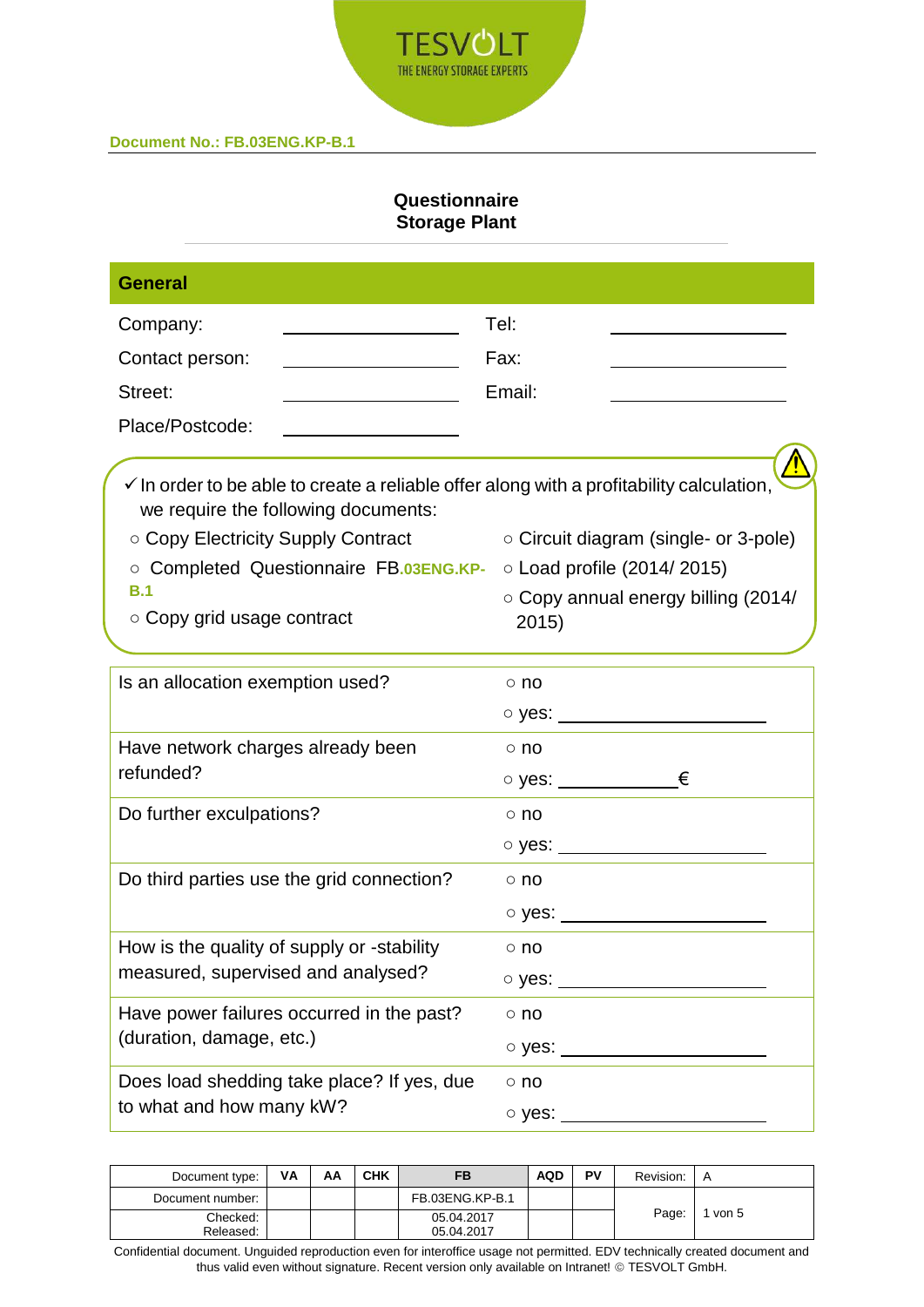

# **Questionnaire Storage Plant**

| <b>General</b>                                                                                                                             |                                                       |
|--------------------------------------------------------------------------------------------------------------------------------------------|-------------------------------------------------------|
| Company:                                                                                                                                   | Tel:                                                  |
| Contact person:                                                                                                                            | Fax:                                                  |
| Street:                                                                                                                                    | Email:                                                |
| Place/Postcode:                                                                                                                            |                                                       |
| $\checkmark$ In order to be able to create a reliable offer along with a profitability calculation,<br>we require the following documents: |                                                       |
| ○ Copy Electricity Supply Contract                                                                                                         | ○ Circuit diagram (single- or 3-pole)                 |
| O Completed Questionnaire FB.03ENG.KP-                                                                                                     | $\circ$ Load profile (2014/2015)                      |
| B.1<br>○ Copy grid usage contract                                                                                                          | o Copy annual energy billing (2014/<br>2015)          |
| Is an allocation exemption used?                                                                                                           | $\circ$ no                                            |
|                                                                                                                                            | ○ yes: <u>_______________</u> ____                    |
| Have network charges already been                                                                                                          | $\circ$ no                                            |
| refunded?                                                                                                                                  |                                                       |
| Do further exculpations?                                                                                                                   | $\circ$ no                                            |
|                                                                                                                                            | o yes: _______________________                        |
| Do third parties use the grid connection?                                                                                                  | $\circ$ no                                            |
|                                                                                                                                            | $\circ$ yes: $\_\_\_\_\_\_\_\_\_\_\_\_\_\_\_\_\_\_\_$ |
| How is the quality of supply or -stability                                                                                                 | $\circ$ no                                            |
| measured, supervised and analysed?                                                                                                         |                                                       |
| Have power failures occurred in the past?                                                                                                  | $\circ$ no                                            |
| (duration, damage, etc.)                                                                                                                   | $\circ$ yes: $\qquad \qquad$                          |
| Does load shedding take place? If yes, due                                                                                                 | $\circ$ no                                            |
| to what and how many kW?                                                                                                                   | $\circ$ yes: $\_\_$                                   |
|                                                                                                                                            |                                                       |

| Document type:   | VA | ΑА | <b>CHK</b> |                 | <b>AQD</b> | PV | Revision: | A     |
|------------------|----|----|------------|-----------------|------------|----|-----------|-------|
| Document number: |    |    |            | FB.03ENG.KP-B.1 |            |    |           |       |
| Checked:         |    |    |            | 05.04.2017      |            |    | Page:     | von 5 |
| Released:        |    |    |            | 05.04.2017      |            |    |           |       |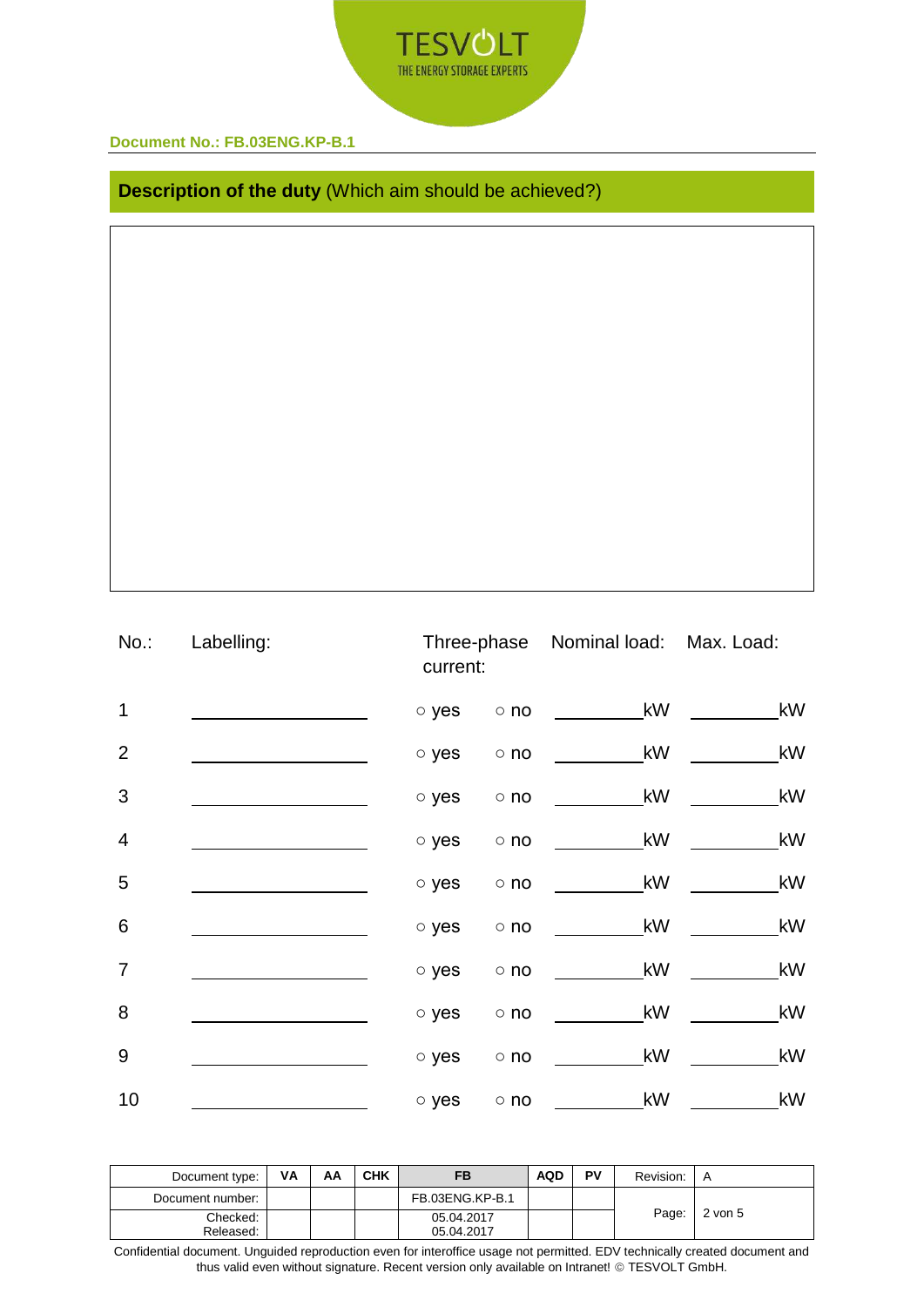

**Description of the duty** (Which aim should be achieved?)

| No.:            | Labelling: | current:    |            | Three-phase Nominal load: Max. Load:    |      |  |
|-----------------|------------|-------------|------------|-----------------------------------------|------|--|
| 1               |            | o yes       |            | kW<br>$\circ$ no $\qquad \qquad \qquad$ | kW   |  |
| $\overline{2}$  |            | $\circ$ yes |            | $\circ$ no $\qquad \qquad$ kW           | kW   |  |
| 3               |            | o yes       | $\circ$ no | $\overline{\phantom{a}}$ kW             | $_k$ |  |
| $\overline{4}$  |            | o yes       | $\circ$ no | kW                                      | $_k$ |  |
| 5               |            | o yes       | $\circ$ no | kW                                      | kW   |  |
| $6\phantom{1}6$ |            | o yes       | $\circ$ no | <b>Example 18</b>                       | kW   |  |
| $\overline{7}$  |            | o yes       | $\circ$ no | kW                                      | kW   |  |
| 8               |            | o yes       | $\circ$ no | kW                                      | kW   |  |
| $\overline{9}$  |            | $\circ$ yes | $\circ$ no | kW                                      | kW   |  |
| 10              |            | o yes       | $\circ$ no | kW                                      | kW   |  |

| Document type:   | VA | АΑ | <b>CHK</b> | FB              | <b>AQD</b> | PV | Revision: | A           |
|------------------|----|----|------------|-----------------|------------|----|-----------|-------------|
| Document number: |    |    |            | FB.03ENG.KP-B.1 |            |    | Page:     | $2$ von $5$ |
| Checked:         |    |    |            | 05.04.2017      |            |    |           |             |
| Released:        |    |    |            | 05.04.2017      |            |    |           |             |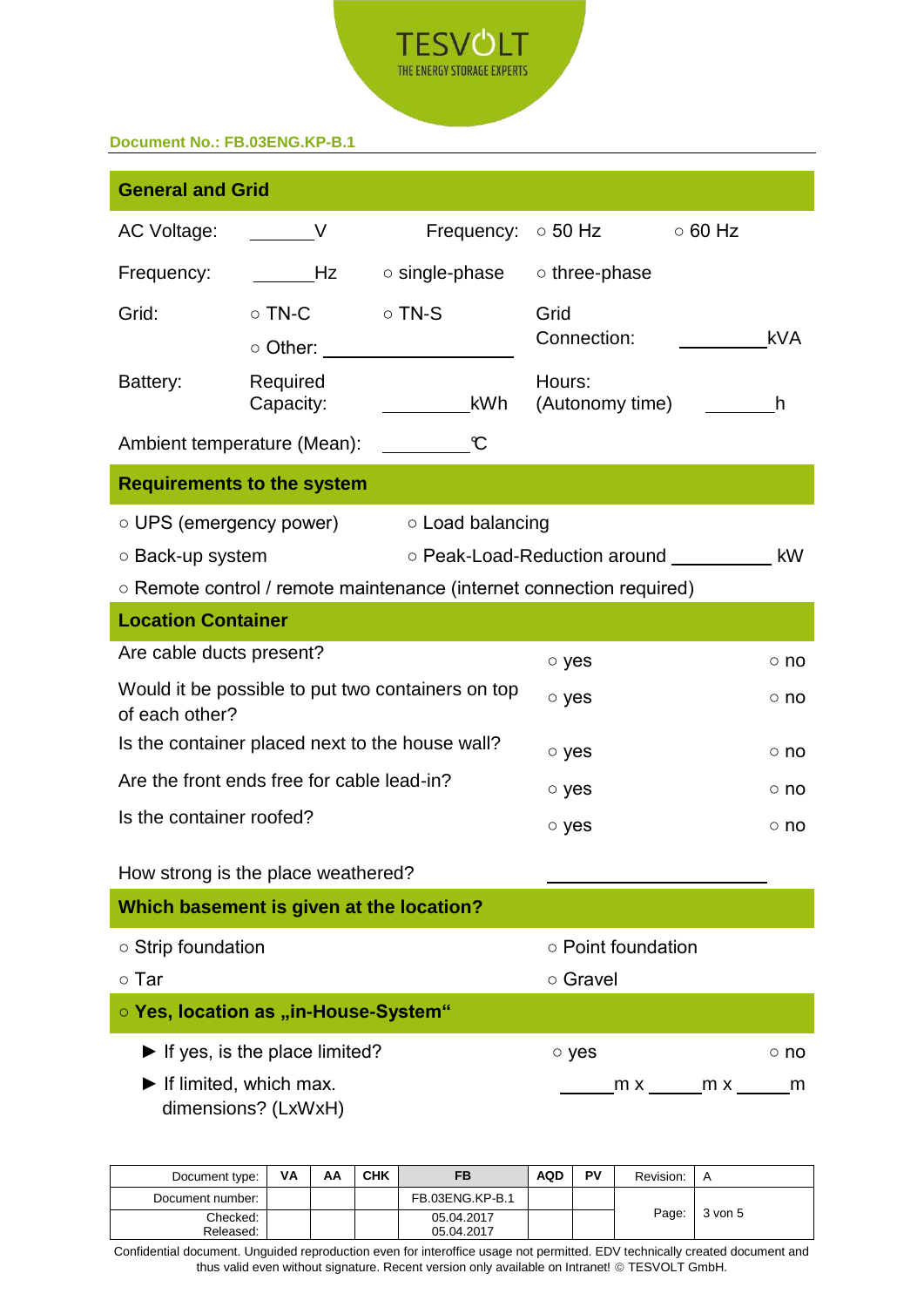

| <b>General and Grid</b>                      |                                                     |                                                                      |                           |                                              |  |  |  |
|----------------------------------------------|-----------------------------------------------------|----------------------------------------------------------------------|---------------------------|----------------------------------------------|--|--|--|
| AC Voltage:                                  | $\overline{\phantom{0}}$ V                          | Frequency: $\circ$ 50 Hz                                             |                           | $\circ$ 60 Hz                                |  |  |  |
| Frequency:                                   | Hz                                                  | $\circ$ single-phase                                                 | ○ three-phase             |                                              |  |  |  |
| Grid:                                        | $\circ$ TN-C                                        | $\circ$ TN-S                                                         | Grid                      |                                              |  |  |  |
|                                              | ○ Other:                                            |                                                                      | Connection:               | <b>kVA</b>                                   |  |  |  |
| Battery:                                     | Required<br>Capacity:                               | kWh                                                                  | Hours:<br>(Autonomy time) | h                                            |  |  |  |
|                                              | Ambient temperature (Mean):                         | C                                                                    |                           |                                              |  |  |  |
|                                              | <b>Requirements to the system</b>                   |                                                                      |                           |                                              |  |  |  |
| ○ UPS (emergency power)                      |                                                     | ○ Load balancing                                                     |                           |                                              |  |  |  |
| ○ Back-up system                             |                                                     |                                                                      |                           | ○ Peak-Load-Reduction around ____________ kW |  |  |  |
|                                              |                                                     | ○ Remote control / remote maintenance (internet connection required) |                           |                                              |  |  |  |
| <b>Location Container</b>                    |                                                     |                                                                      |                           |                                              |  |  |  |
| Are cable ducts present?                     |                                                     |                                                                      | o yes                     | ○ no                                         |  |  |  |
| of each other?                               |                                                     | Would it be possible to put two containers on top                    | o yes<br>○ no             |                                              |  |  |  |
|                                              | Is the container placed next to the house wall?     |                                                                      | o yes<br>$\circ$ no       |                                              |  |  |  |
|                                              | Are the front ends free for cable lead-in?          |                                                                      | o yes<br>$\circ$ no       |                                              |  |  |  |
| Is the container roofed?                     |                                                     |                                                                      | o yes<br>$\circ$ no       |                                              |  |  |  |
|                                              | How strong is the place weathered?                  |                                                                      |                           |                                              |  |  |  |
|                                              | Which basement is given at the location?            |                                                                      |                           |                                              |  |  |  |
| ○ Strip foundation                           |                                                     |                                                                      | ○ Point foundation        |                                              |  |  |  |
| $\circ$ Tar                                  |                                                     |                                                                      | ○ Gravel                  |                                              |  |  |  |
|                                              | ○ Yes, location as "in-House-System"                |                                                                      |                           |                                              |  |  |  |
|                                              | $\blacktriangleright$ If yes, is the place limited? |                                                                      | o yes                     | $\circ$ no                                   |  |  |  |
| $\blacktriangleright$ If limited, which max. | dimensions? (LxWxH)                                 |                                                                      |                           | _m x _______m x ______<br>m                  |  |  |  |

| Document type:   | ٧A | AA | CHK | FB              | <b>AQD</b> | PV | Revision: | $\overline{A}$ |
|------------------|----|----|-----|-----------------|------------|----|-----------|----------------|
| Document number: |    |    |     | FB.03ENG.KP-B.1 |            |    |           |                |
| Checked:         |    |    |     | 05.04.2017      |            |    | Page:     | 3 von 5        |
| Released:        |    |    |     | 05.04.2017      |            |    |           |                |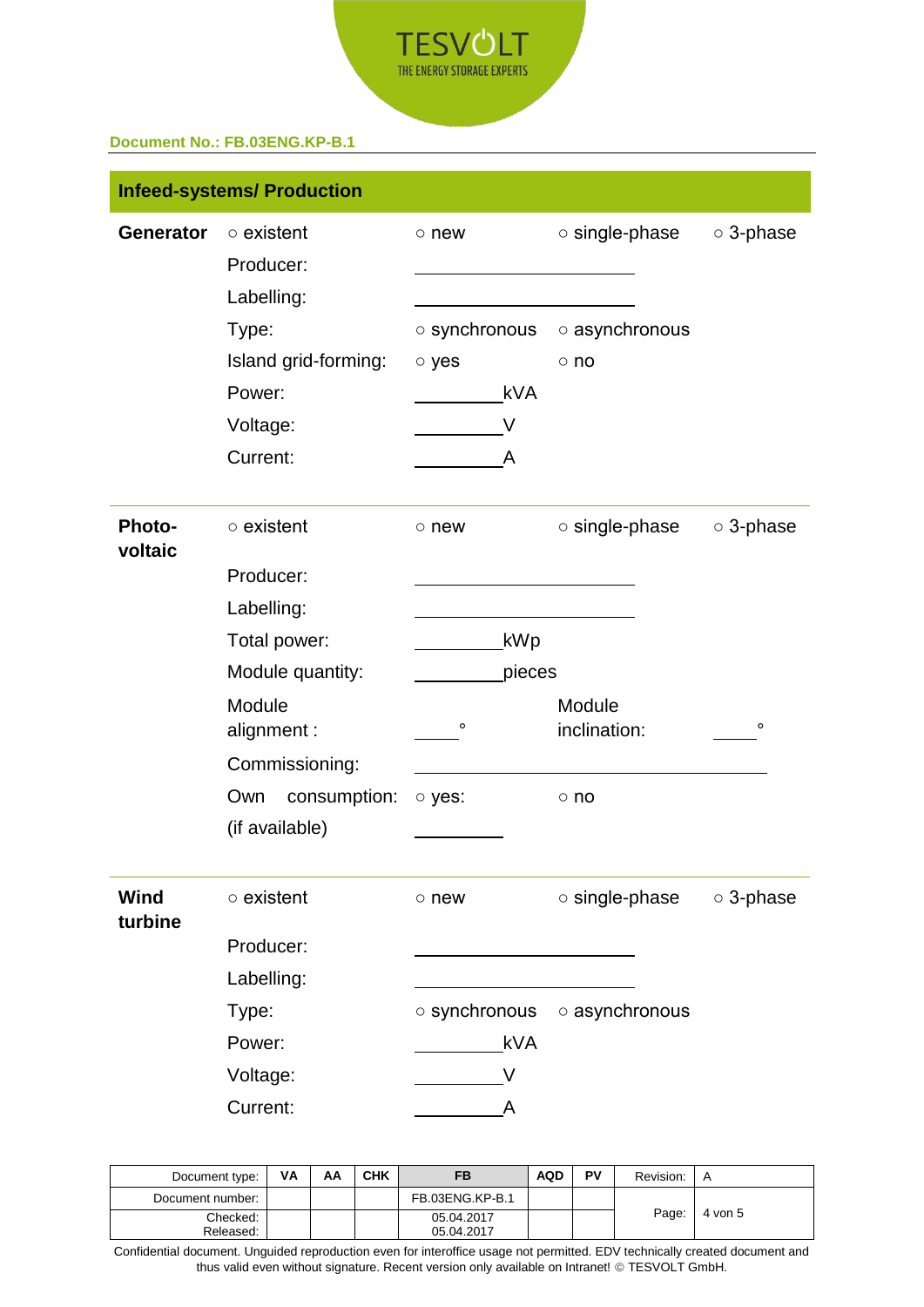

|                          | <b>Infeed-systems/ Production</b> |                     |                      |                 |  |
|--------------------------|-----------------------------------|---------------------|----------------------|-----------------|--|
| <b>Generator</b>         | $\circ$ existent<br>Producer:     | $\circ$ new         | $\circ$ single-phase | ○ 3-phase       |  |
|                          | Labelling:                        |                     |                      |                 |  |
|                          | Type:                             | $\circ$ synchronous | o asynchronous       |                 |  |
|                          | Island grid-forming:              | o yes               | $\circ$ no           |                 |  |
|                          | Power:                            | <b>kVA</b>          |                      |                 |  |
|                          | Voltage:                          | V                   |                      |                 |  |
|                          | Current:                          | A                   |                      |                 |  |
| <b>Photo-</b><br>voltaic | $\circ$ existent                  | $\circ$ new         | $\circ$ single-phase | ○ 3-phase       |  |
|                          | Producer:                         |                     |                      |                 |  |
|                          | Labelling:                        |                     |                      |                 |  |
|                          | Total power:                      | kWp                 |                      |                 |  |
|                          | Module quantity:                  | pieces              |                      |                 |  |
|                          | Module                            |                     | Module               |                 |  |
|                          | alignment:                        | $\circ$             | inclination:         | o               |  |
|                          | Commissioning:                    |                     |                      |                 |  |
|                          | Own<br>consumption:               | o yes:              | $\circ$ no           |                 |  |
|                          | (if available)                    |                     |                      |                 |  |
| Wind<br>turbine          | $\circ$ existent                  | $\circ$ new         | o single-phase       | $\circ$ 3-phase |  |
|                          | Producer:                         |                     |                      |                 |  |
|                          | Labelling:                        |                     |                      |                 |  |
|                          | Type:                             | o synchronous       | o asynchronous       |                 |  |
|                          | Power:                            | <b>kVA</b>          |                      |                 |  |
|                          | Voltage:                          | V                   |                      |                 |  |
|                          | Current:                          | Α                   |                      |                 |  |

| Document type:   | VA | AA | <b>CHK</b> |                 | <b>AQD</b> | PV | Revision: | A       |
|------------------|----|----|------------|-----------------|------------|----|-----------|---------|
| Document number: |    |    |            | FB.03ENG.KP-B.1 |            |    | Page:     | 4 von 5 |
| Checked:         |    |    |            | 05.04.2017      |            |    |           |         |
| Released:        |    |    |            | 05.04.2017      |            |    |           |         |